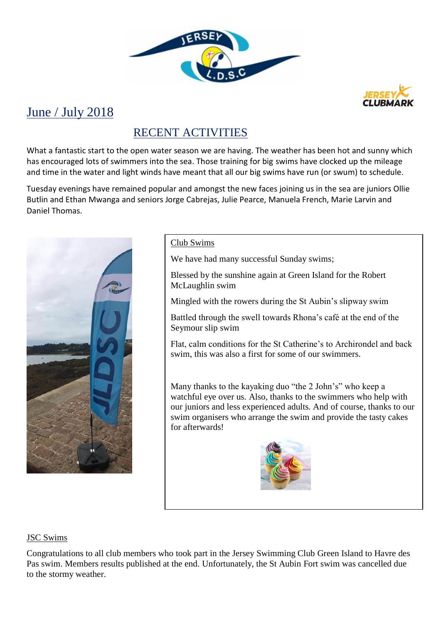



# June / July 2018

## RECENT ACTIVITIES

What a fantastic start to the open water season we are having. The weather has been hot and sunny which has encouraged lots of swimmers into the sea. Those training for big swims have clocked up the mileage and time in the water and light winds have meant that all our big swims have run (or swum) to schedule.

Tuesday evenings have remained popular and amongst the new faces joining us in the sea are juniors Ollie Butlin and Ethan Mwanga and seniors Jorge Cabrejas, Julie Pearce, Manuela French, Marie Larvin and Daniel Thomas.



### Club Swims

We have had many successful Sunday swims;

Blessed by the sunshine again at Green Island for the Robert McLaughlin swim

Mingled with the rowers during the St Aubin's slipway swim

Battled through the swell towards Rhona's café at the end of the Seymour slip swim

Flat, calm conditions for the St Catherine's to Archirondel and back swim, this was also a first for some of our swimmers.

Many thanks to the kayaking duo "the 2 John's" who keep a watchful eye over us. Also, thanks to the swimmers who help with our juniors and less experienced adults. And of course, thanks to our swim organisers who arrange the swim and provide the tasty cakes for afterwards!



### JSC Swims

Congratulations to all club members who took part in the Jersey Swimming Club Green Island to Havre des Pas swim. Members results published at the end. Unfortunately, the St Aubin Fort swim was cancelled due to the stormy weather.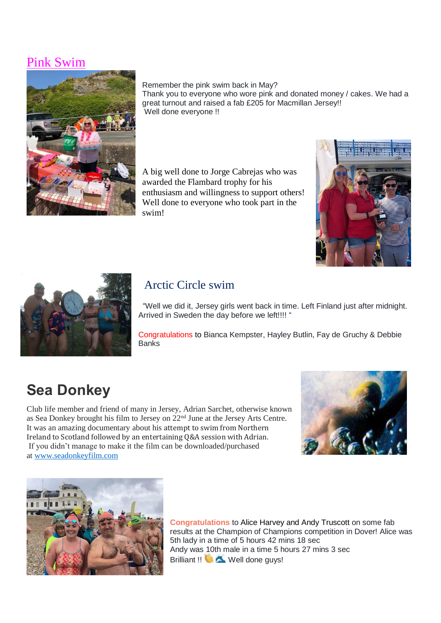## Pink Swim



#### Remember the pink swim back in May?

Thank you to everyone who wore pink and donated money / cakes. We had a great turnout and raised a fab £205 for Macmillan Jersey!! Well done everyone !!

A big well done to Jorge Cabrejas who was awarded the Flambard trophy for his enthusiasm and willingness to support others! Well done to everyone who took part in the swim!





## Arctic Circle swim

 "Well we did it, Jersey girls went back in time. Left Finland just after midnight. Arrived in Sweden the day before we left!!!! "

Congratulations to Bianca Kempster, Hayley Butlin, Fay de Gruchy & Debbie **Banks** 

# **Sea Donkey**

Club life member and friend of many in Jersey, Adrian Sarchet, otherwise known as Sea Donkey brought his film to Jersey on 22nd June at the Jersey Arts Centre. It was an amazing documentary about his attempt to swim from Northern Ireland to Scotland followed by an entertaining Q&A session with Adrian. If you didn't manage to make it the film can be downloaded/purchased at [www.seadonkeyfilm.com](http://www.seadonkeyfilm.com/)





**Congratulations** to [Alice Harvey](https://www.facebook.com/alice.harvey85?fref=gs&dti=168864569896372&hc_location=group) and [Andy Truscott](https://www.facebook.com/andy.truscott1?fref=gs&dti=168864569896372&hc_location=group) on some fab results at the Champion of Champions competition in Dover! Alice was 5th lady in a time of 5 hours 42 mins 18 sec Andy was 10th male in a time 5 hours 27 mins 3 sec Brilliant !! **WELL** Well done guys!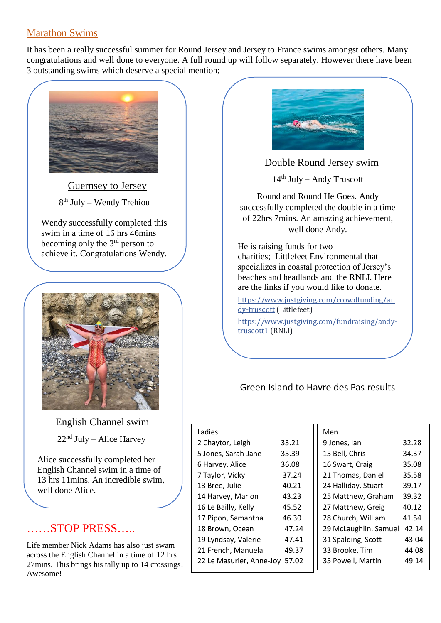## Marathon Swims

It has been a really successful summer for Round Jersey and Jersey to France swims amongst others. Many congratulations and well done to everyone. A full round up will follow separately. However there have been 3 outstanding swims which deserve a special mention;



Guernsey to Jersey 8<sup>th</sup> July – Wendy Trehiou

Wendy successfully completed this swim in a time of 16 hrs 46mins becoming only the 3rd person to achieve it. Congratulations Wendy.



 English Channel swim  $22<sup>nd</sup>$  July – Alice Harvey

Alice successfully completed her English Channel swim in a time of 13 hrs 11mins. An incredible swim, well done Alice.

## ……STOP PRESS…..

Life member Nick Adams has also just swam across the English Channel in a time of 12 hrs 27mins. This brings his tally up to 14 crossings! Awesome!



Double Round Jersey swim

 $14<sup>th</sup>$  July – Andy Truscott

Round and Round He Goes. Andy successfully completed the double in a time of 22hrs 7mins. An amazing achievement, well done Andy.

He is raising funds for two charities; [Littlefeet Environmental](https://www.facebook.com/littlefeetenvironmental/) that specializes in coastal protection of Jersey's beaches and headlands and the RNLI. Here are the links if you would like to donate.

[https://www.justgiving.com/crowdfunding/an](https://www.justgiving.com/crowdfunding/andy-truscott) [dy-truscott](https://www.justgiving.com/crowdfunding/andy-truscott) (Littlefeet)

[https://www.justgiving.com/fundraising/andy](https://www.justgiving.com/fundraising/andy-truscott1)[truscott1](https://www.justgiving.com/fundraising/andy-truscott1) (RNLI)

## Green Island to Havre des Pas results

| Ladies                   |       | Men                   |       |
|--------------------------|-------|-----------------------|-------|
| 2 Chaytor, Leigh         | 33.21 | 9 Jones, lan          | 32.28 |
| 5 Jones, Sarah-Jane      | 35.39 | 15 Bell, Chris        | 34.37 |
| 6 Harvey, Alice          | 36.08 | 16 Swart, Craig       | 35.08 |
| 7 Taylor, Vicky          | 37.24 | 21 Thomas, Daniel     | 35.58 |
| 13 Bree, Julie           | 40.21 | 24 Halliday, Stuart   | 39.17 |
| 14 Harvey, Marion        | 43.23 | 25 Matthew, Graham    | 39.32 |
| 16 Le Bailly, Kelly      | 45.52 | 27 Matthew, Greig     | 40.12 |
| 17 Pipon, Samantha       | 46.30 | 28 Church, William    | 41.54 |
| 18 Brown, Ocean          | 47.24 | 29 McLaughlin, Samuel | 42.14 |
| 19 Lyndsay, Valerie      | 47.41 | 31 Spalding, Scott    | 43.04 |
| 21 French, Manuela       | 49.37 | 33 Brooke, Tim        | 44.08 |
| 22 Le Masurier, Anne-Joy | 57.02 | 35 Powell, Martin     | 49.14 |